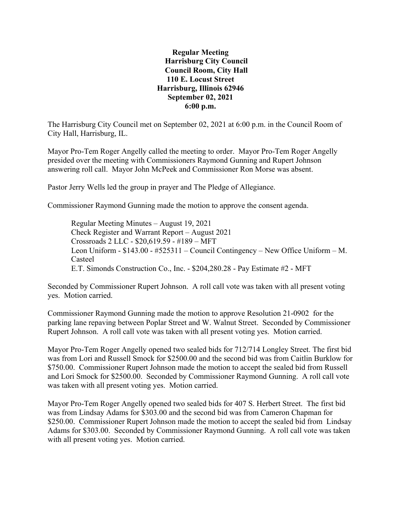**Regular Meeting Harrisburg City Council Council Room, City Hall 110 E. Locust Street Harrisburg, Illinois 62946 September 02, 2021 6:00 p.m.**

The Harrisburg City Council met on September 02, 2021 at 6:00 p.m. in the Council Room of City Hall, Harrisburg, IL.

Mayor Pro-Tem Roger Angelly called the meeting to order. Mayor Pro-Tem Roger Angelly presided over the meeting with Commissioners Raymond Gunning and Rupert Johnson answering roll call. Mayor John McPeek and Commissioner Ron Morse was absent.

Pastor Jerry Wells led the group in prayer and The Pledge of Allegiance.

Commissioner Raymond Gunning made the motion to approve the consent agenda.

Regular Meeting Minutes – August 19, 2021 Check Register and Warrant Report – August 2021 Crossroads 2 LLC - \$20,619.59 - #189 – MFT Leon Uniform - \$143.00 - #525311 – Council Contingency – New Office Uniform – M. Casteel E.T. Simonds Construction Co., Inc. - \$204,280.28 - Pay Estimate #2 - MFT

Seconded by Commissioner Rupert Johnson. A roll call vote was taken with all present voting yes. Motion carried.

Commissioner Raymond Gunning made the motion to approve Resolution 21-0902 for the parking lane repaving between Poplar Street and W. Walnut Street. Seconded by Commissioner Rupert Johnson. A roll call vote was taken with all present voting yes. Motion carried.

Mayor Pro-Tem Roger Angelly opened two sealed bids for 712/714 Longley Street. The first bid was from Lori and Russell Smock for \$2500.00 and the second bid was from Caitlin Burklow for \$750.00. Commissioner Rupert Johnson made the motion to accept the sealed bid from Russell and Lori Smock for \$2500.00. Seconded by Commissioner Raymond Gunning. A roll call vote was taken with all present voting yes. Motion carried.

Mayor Pro-Tem Roger Angelly opened two sealed bids for 407 S. Herbert Street. The first bid was from Lindsay Adams for \$303.00 and the second bid was from Cameron Chapman for \$250.00. Commissioner Rupert Johnson made the motion to accept the sealed bid from Lindsay Adams for \$303.00. Seconded by Commissioner Raymond Gunning. A roll call vote was taken with all present voting yes. Motion carried.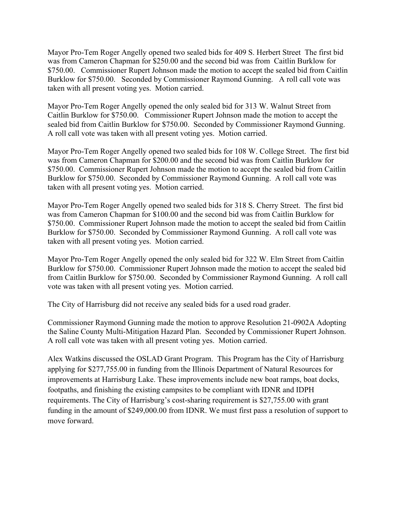Mayor Pro-Tem Roger Angelly opened two sealed bids for 409 S. Herbert Street The first bid was from Cameron Chapman for \$250.00 and the second bid was from Caitlin Burklow for \$750.00. Commissioner Rupert Johnson made the motion to accept the sealed bid from Caitlin Burklow for \$750.00. Seconded by Commissioner Raymond Gunning. A roll call vote was taken with all present voting yes. Motion carried.

Mayor Pro-Tem Roger Angelly opened the only sealed bid for 313 W. Walnut Street from Caitlin Burklow for \$750.00. Commissioner Rupert Johnson made the motion to accept the sealed bid from Caitlin Burklow for \$750.00. Seconded by Commissioner Raymond Gunning. A roll call vote was taken with all present voting yes. Motion carried.

Mayor Pro-Tem Roger Angelly opened two sealed bids for 108 W. College Street. The first bid was from Cameron Chapman for \$200.00 and the second bid was from Caitlin Burklow for \$750.00. Commissioner Rupert Johnson made the motion to accept the sealed bid from Caitlin Burklow for \$750.00. Seconded by Commissioner Raymond Gunning. A roll call vote was taken with all present voting yes. Motion carried.

Mayor Pro-Tem Roger Angelly opened two sealed bids for 318 S. Cherry Street. The first bid was from Cameron Chapman for \$100.00 and the second bid was from Caitlin Burklow for \$750.00. Commissioner Rupert Johnson made the motion to accept the sealed bid from Caitlin Burklow for \$750.00. Seconded by Commissioner Raymond Gunning. A roll call vote was taken with all present voting yes. Motion carried.

Mayor Pro-Tem Roger Angelly opened the only sealed bid for 322 W. Elm Street from Caitlin Burklow for \$750.00. Commissioner Rupert Johnson made the motion to accept the sealed bid from Caitlin Burklow for \$750.00. Seconded by Commissioner Raymond Gunning. A roll call vote was taken with all present voting yes. Motion carried.

The City of Harrisburg did not receive any sealed bids for a used road grader.

Commissioner Raymond Gunning made the motion to approve Resolution 21-0902A Adopting the Saline County Multi-Mitigation Hazard Plan. Seconded by Commissioner Rupert Johnson. A roll call vote was taken with all present voting yes. Motion carried.

Alex Watkins discussed the OSLAD Grant Program. This Program has the City of Harrisburg applying for \$277,755.00 in funding from the Illinois Department of Natural Resources for improvements at Harrisburg Lake. These improvements include new boat ramps, boat docks, footpaths, and finishing the existing campsites to be compliant with IDNR and IDPH requirements. The City of Harrisburg's cost-sharing requirement is \$27,755.00 with grant funding in the amount of \$249,000.00 from IDNR. We must first pass a resolution of support to move forward.